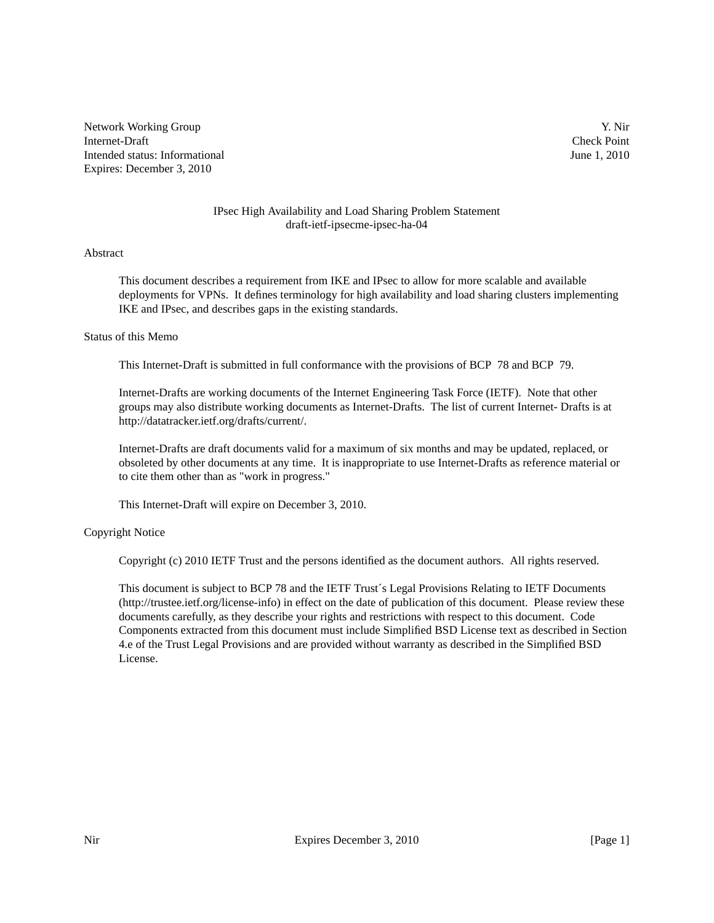Network Working Group Y. Nir Internet-Draft Check Point Intended status: Informational June 1, 2010 Expires: December 3, 2010

# IPsec High Availability and Load Sharing Problem Statement draft-ietf-ipsecme-ipsec-ha-04

### Abstract

This document describes a requirement from IKE and IPsec to allow for more scalable and available deployments for VPNs. It defines terminology for high availability and load sharing clusters implementing IKE and IPsec, and describes gaps in the existing standards.

#### Status of this Memo

This Internet-Draft is submitted in full conformance with the provisions of BCP 78 and BCP 79.

Internet-Drafts are working documents of the Internet Engineering Task Force (IETF). Note that other groups may also distribute working documents as Internet-Drafts. The list of current Internet- Drafts is at http://datatracker.ietf.org/drafts/current/.

Internet-Drafts are draft documents valid for a maximum of six months and may be updated, replaced, or obsoleted by other documents at any time. It is inappropriate to use Internet-Drafts as reference material or to cite them other than as "work in progress."

This Internet-Draft will expire on December 3, 2010.

## Copyright Notice

Copyright (c) 2010 IETF Trust and the persons identified as the document authors. All rights reserved.

This document is subject to BCP 78 and the IETF Trust´s Legal Provisions Relating to IETF Documents (http://trustee.ietf.org/license-info) in effect on the date of publication of this document. Please review these documents carefully, as they describe your rights and restrictions with respect to this document. Code Components extracted from this document must include Simplified BSD License text as described in Section 4.e of the Trust Legal Provisions and are provided without warranty as described in the Simplified BSD License.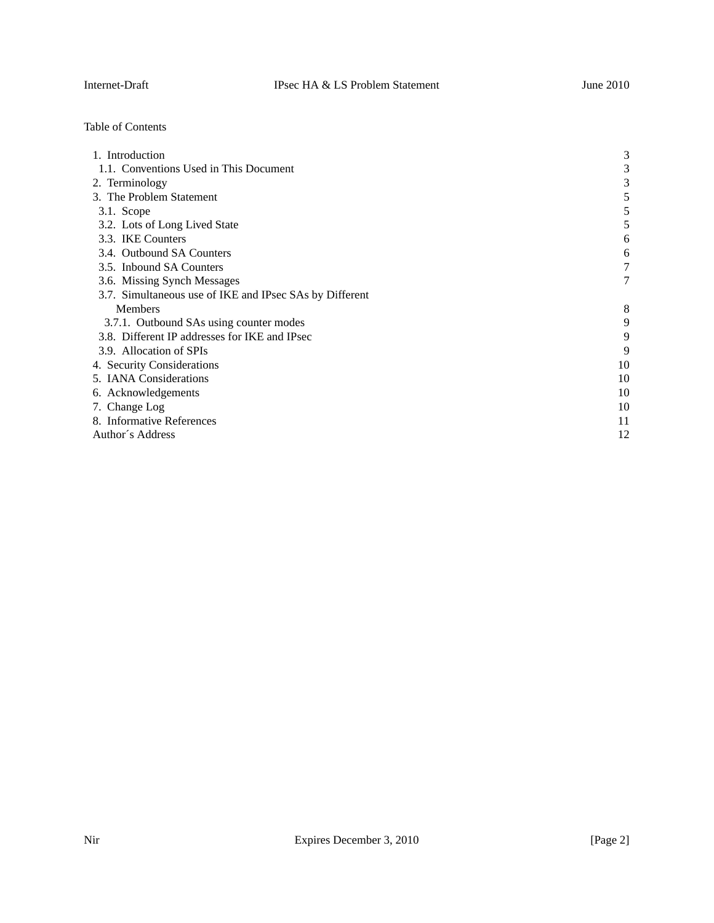Table of Contents

| 1. Introduction                                         | 3  |
|---------------------------------------------------------|----|
| 1.1. Conventions Used in This Document                  | 3  |
| 2. Terminology                                          | 3  |
| 3. The Problem Statement                                |    |
| $3.1.$ Scope                                            |    |
| 3.2. Lots of Long Lived State                           |    |
| 3.3. IKE Counters                                       | 6  |
| 3.4. Outbound SA Counters                               | 6  |
| 3.5. Inbound SA Counters                                |    |
| 3.6. Missing Synch Messages                             | 7  |
| 3.7. Simultaneous use of IKE and IPsec SAs by Different |    |
| <b>Members</b>                                          | 8  |
| 3.7.1. Outbound SAs using counter modes                 | 9  |
| 3.8. Different IP addresses for IKE and IPsec           | 9  |
| 3.9. Allocation of SPIs                                 | 9  |
| 4. Security Considerations                              | 10 |
| 5. IANA Considerations                                  | 10 |
| 6. Acknowledgements                                     | 10 |
| 7. Change Log                                           | 10 |
| 8. Informative References                               | 11 |
| Author's Address                                        | 12 |
|                                                         |    |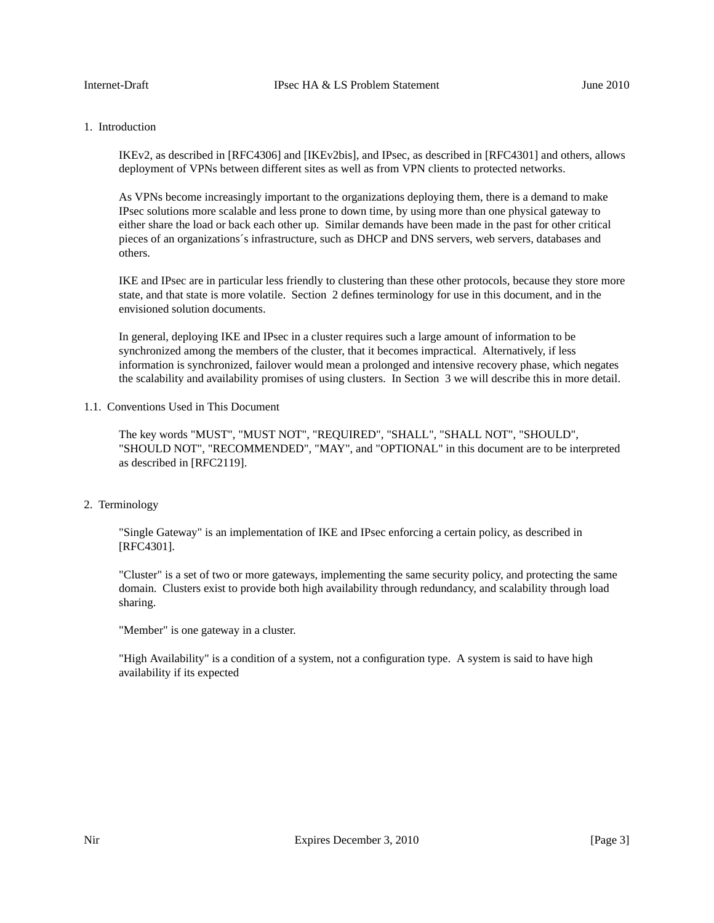# 1. Introduction

IKEv2, as described in [RFC4306] and [IKEv2bis], and IPsec, as described in [RFC4301] and others, allows deployment of VPNs between different sites as well as from VPN clients to protected networks.

As VPNs become increasingly important to the organizations deploying them, there is a demand to make IPsec solutions more scalable and less prone to down time, by using more than one physical gateway to either share the load or back each other up. Similar demands have been made in the past for other critical pieces of an organizations´s infrastructure, such as DHCP and DNS servers, web servers, databases and others.

IKE and IPsec are in particular less friendly to clustering than these other protocols, because they store more state, and that state is more volatile. Section 2 defines terminology for use in this document, and in the envisioned solution documents.

In general, deploying IKE and IPsec in a cluster requires such a large amount of information to be synchronized among the members of the cluster, that it becomes impractical. Alternatively, if less information is synchronized, failover would mean a prolonged and intensive recovery phase, which negates the scalability and availability promises of using clusters. In Section 3 we will describe this in more detail.

## 1.1. Conventions Used in This Document

The key words "MUST", "MUST NOT", "REQUIRED", "SHALL", "SHALL NOT", "SHOULD", "SHOULD NOT", "RECOMMENDED", "MAY", and "OPTIONAL" in this document are to be interpreted as described in [RFC2119].

## 2. Terminology

"Single Gateway" is an implementation of IKE and IPsec enforcing a certain policy, as described in [RFC4301].

"Cluster" is a set of two or more gateways, implementing the same security policy, and protecting the same domain. Clusters exist to provide both high availability through redundancy, and scalability through load sharing.

"Member" is one gateway in a cluster.

"High Availability" is a condition of a system, not a configuration type. A system is said to have high availability if its expected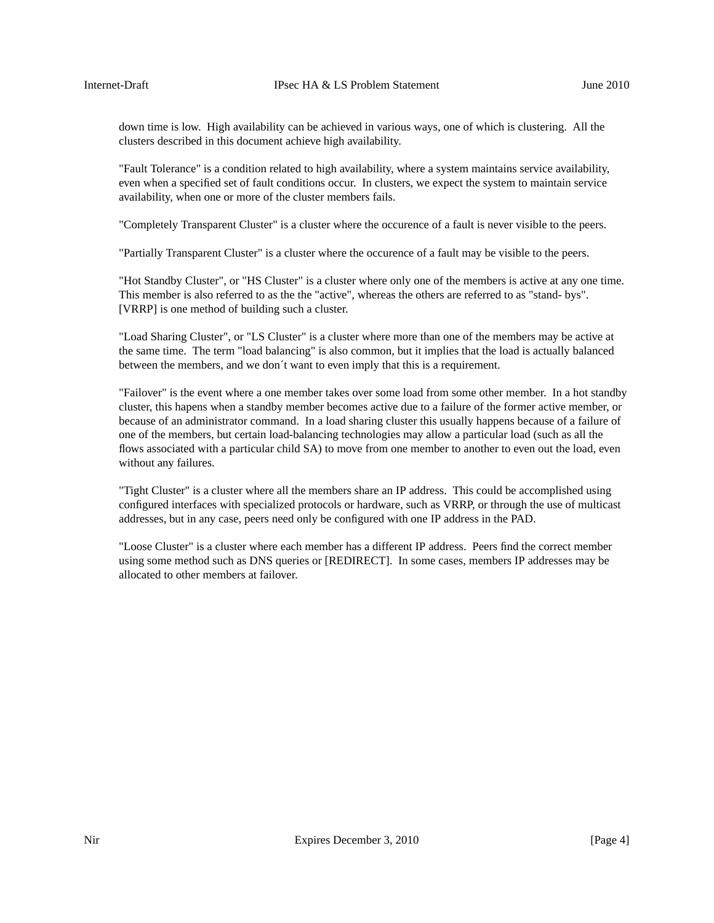down time is low. High availability can be achieved in various ways, one of which is clustering. All the clusters described in this document achieve high availability.

"Fault Tolerance" is a condition related to high availability, where a system maintains service availability, even when a specified set of fault conditions occur. In clusters, we expect the system to maintain service availability, when one or more of the cluster members fails.

"Completely Transparent Cluster" is a cluster where the occurence of a fault is never visible to the peers.

"Partially Transparent Cluster" is a cluster where the occurence of a fault may be visible to the peers.

"Hot Standby Cluster", or "HS Cluster" is a cluster where only one of the members is active at any one time. This member is also referred to as the the "active", whereas the others are referred to as "stand- bys". [VRRP] is one method of building such a cluster.

"Load Sharing Cluster", or "LS Cluster" is a cluster where more than one of the members may be active at the same time. The term "load balancing" is also common, but it implies that the load is actually balanced between the members, and we don´t want to even imply that this is a requirement.

"Failover" is the event where a one member takes over some load from some other member. In a hot standby cluster, this hapens when a standby member becomes active due to a failure of the former active member, or because of an administrator command. In a load sharing cluster this usually happens because of a failure of one of the members, but certain load-balancing technologies may allowaparticular load (such as all the flows associated with a particular child SA) to move from one member to another to even out the load, even without any failures.

"Tight Cluster" is a cluster where all the members share an IP address. This could be accomplished using configured interfaces with specialized protocols or hardware, such as VRRP, or through the use of multicast addresses, but in any case, peers need only be configured with one IP address in the PAD.

"Loose Cluster" is a cluster where each member has a different IP address. Peers find the correct member using some method such as DNS queries or [REDIRECT]. In some cases, members IP addresses may be allocated to other members at failover.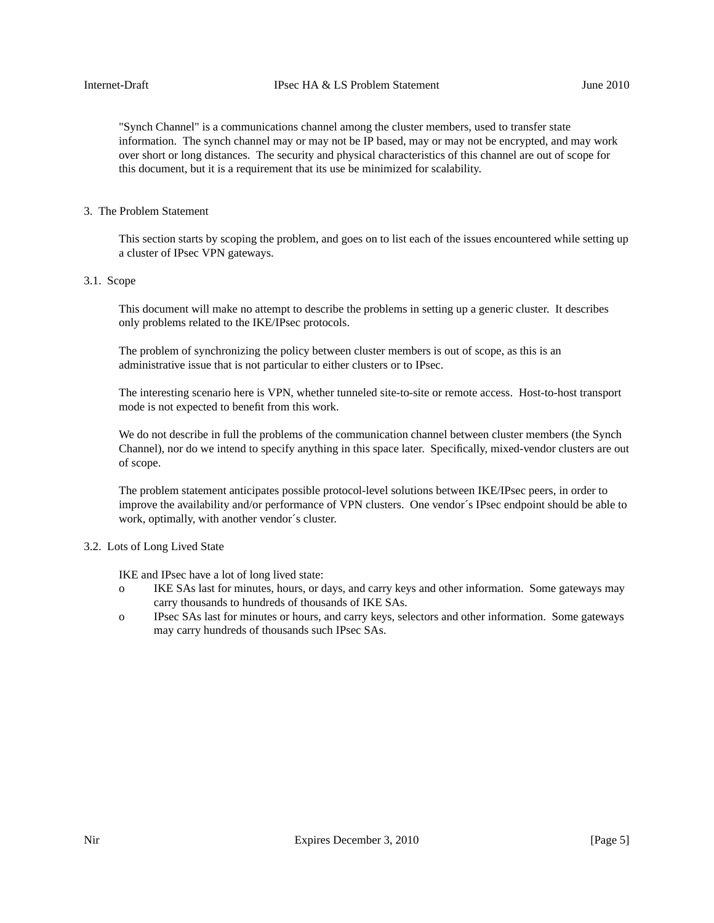"Synch Channel" is a communications channel among the cluster members, used to transfer state information. The synch channel may or may not be IP based, may or may not be encrypted, and may work over short or long distances. The security and physical characteristics of this channel are out of scope for this document, but it is a requirement that its use be minimized for scalability.

## 3. The Problem Statement

This section starts by scoping the problem, and goes on to list each of the issues encountered while setting up a cluster of IPsec VPN gateways.

# 3.1. Scope

This document will make no attempt to describe the problems in setting up a generic cluster. It describes only problems related to the IKE/IPsec protocols.

The problem of synchronizing the policy between cluster members is out of scope, as this is an administrative issue that is not particular to either clusters or to IPsec.

The interesting scenario here is VPN, whether tunneled site-to-site or remote access. Host-to-host transport mode is not expected to benefit from this work.

We do not describe in full the problems of the communication channel between cluster members (the Synch Channel), nor do we intend to specify anything in this space later. Specifically, mixed-vendor clusters are out of scope.

The problem statement anticipates possible protocol-level solutions between IKE/IPsec peers, in order to improve the availability and/or performance of VPN clusters. One vendor´s IPsec endpoint should be able to work, optimally, with another vendor´s cluster.

## 3.2. Lots of Long Lived State

IKE and IPsec have a lot of long lived state:

- o IKE SAs last for minutes, hours, or days, and carry keys and other information. Some gateways may carry thousands to hundreds of thousands of IKE SAs.
- o IPsec SAs last for minutes or hours, and carry keys, selectors and other information. Some gateways may carry hundreds of thousands such IPsec SAs.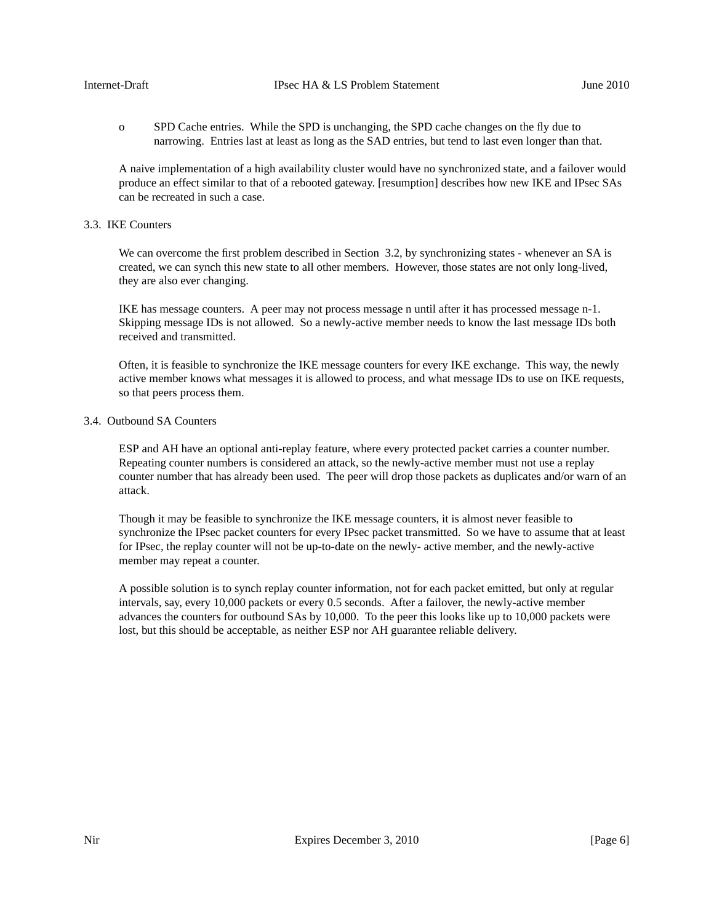o SPD Cache entries. While the SPD is unchanging, the SPD cache changes on the fly due to narrowing. Entries last at least as long as the SAD entries, but tend to last even longer than that.

A naive implementation of a high availability cluster would have no synchronized state, and a failover would produce an effect similar to that of a rebooted gateway. [resumption] describes how new IKE and IPsec SAs can be recreated in such a case.

## 3.3. IKE Counters

We can overcome the first problem described in Section 3.2, by synchronizing states - whenever an SA is created, we can synch this new state to all other members. However, those states are not only long-lived, they are also ever changing.

IKE has message counters. A peer may not process message n until after it has processed message n-1. Skipping message IDs is not allowed. So a newly-active member needs to know the last message IDs both received and transmitted.

Often, it is feasible to synchronize the IKE message counters for every IKE exchange. This way, the newly active member knows what messages it is allowed to process, and what message IDs to use on IKE requests, so that peers process them.

### 3.4. Outbound SA Counters

ESP and AH have an optional anti-replay feature, where every protected packet carries a counter number. Repeating counter numbers is considered an attack, so the newly-active member must not use a replay counter number that has already been used. The peer will drop those packets as duplicates and/or warn of an attack.

Though it may be feasible to synchronize the IKE message counters, it is almost never feasible to synchronize the IPsec packet counters for every IPsec packet transmitted. So we have to assume that at least for IPsec, the replay counter will not be up-to-date on the newly- active member, and the newly-active member may repeat a counter.

A possible solution is to synch replay counter information, not for each packet emitted, but only at regular intervals, say, every 10,000 packets or every 0.5 seconds. After a failover, the newly-active member advances the counters for outbound SAs by 10,000. To the peer this looks like up to 10,000 packets were lost, but this should be acceptable, as neither ESP nor AH guarantee reliable delivery.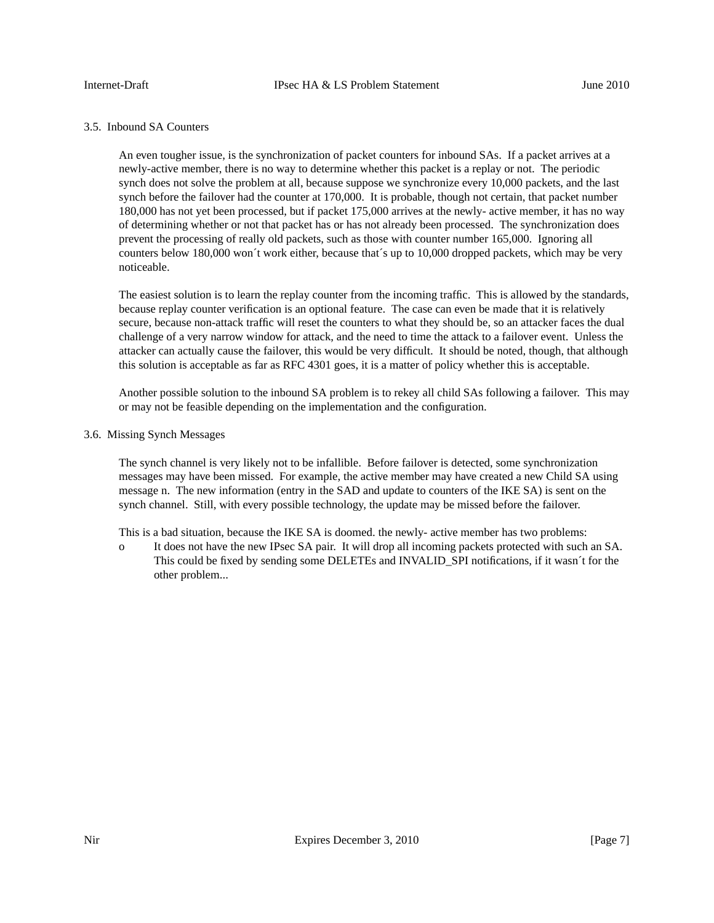# 3.5. Inbound SA Counters

An even tougher issue, is the synchronization of packet counters for inbound SAs. If a packet arrives at a newly-active member, there is no way to determine whether this packet is a replay or not. The periodic synch does not solve the problem at all, because suppose we synchronize every 10,000 packets, and the last synch before the failover had the counter at 170,000. It is probable, though not certain, that packet number 180,000 has not yet been processed, but if packet 175,000 arrives at the newly- active member, it has no way of determining whether or not that packet has or has not already been processed. The synchronization does prevent the processing of really old packets, such as those with counter number 165,000. Ignoring all counters below 180,000 won´t work either, because that´s up to 10,000 dropped packets, which may be very noticeable.

The easiest solution is to learn the replay counter from the incoming traffic. This is allowed by the standards, because replay counter verification is an optional feature. The case can even be made that it is relatively secure, because non-attack traffic will reset the counters to what they should be, so an attacker faces the dual challenge of a very narrow window for attack, and the need to time the attack to a failover event. Unless the attacker can actually cause the failover, this would be very difficult. It should be noted, though, that although this solution is acceptable as far as RFC 4301 goes, it is a matter of policy whether this is acceptable.

Another possible solution to the inbound SA problem is to rekey all child SAs following a failover. This may or may not be feasible depending on the implementation and the configuration.

#### 3.6. Missing Synch Messages

The synch channel is very likely not to be infallible. Before failover is detected, some synchronization messages may have been missed. For example, the active member may have created a new Child SA using message n. The new information (entry in the SAD and update to counters of the IKE SA) is sent on the synch channel. Still, with every possible technology, the update may be missed before the failover.

This is a bad situation, because the IKE SA is doomed. the newly- active member has two problems:

o It does not have the new IPsec SA pair. It will drop all incoming packets protected with such an SA. This could be fixed by sending some DELETEs and INVALID\_SPI notifications, if it wasn´t for the other problem...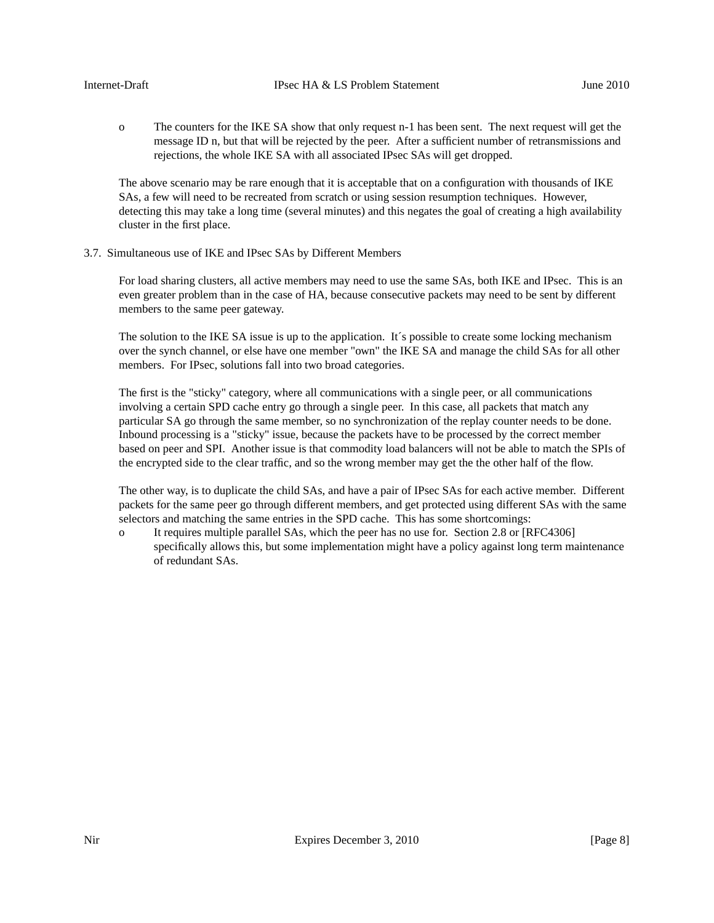o The counters for the IKE SA show that only request n-1 has been sent. The next request will get the message ID n, but that will be rejected by the peer. After a sufficient number of retransmissions and rejections, the whole IKE SA with all associated IPsec SAs will get dropped.

The above scenario may be rare enough that it is acceptable that on a configuration with thousands of IKE SAs, a few will need to be recreated from scratch or using session resumption techniques. However, detecting this may take a long time (several minutes) and this negates the goal of creating a high availability cluster in the first place.

3.7. Simultaneous use of IKE and IPsec SAs by Different Members

For load sharing clusters, all active members may need to use the same SAs, both IKE and IPsec. This is an even greater problem than in the case of HA, because consecutive packets may need to be sent by different members to the same peer gateway.

The solution to the IKE SA issue is up to the application. It´s possible to create some locking mechanism over the synch channel, or else have one member "own" the IKE SA and manage the child SAs for all other members. For IPsec, solutions fall into two broad categories.

The first is the "sticky" category, where all communications with a single peer, or all communications involving a certain SPD cache entry go through a single peer. In this case, all packets that match any particular SA go through the same member, so no synchronization of the replay counter needs to be done. Inbound processing is a "sticky" issue, because the packets have to be processed by the correct member based on peer and SPI. Another issue is that commodity load balancers will not be able to match the SPIs of the encrypted side to the clear traffic, and so the wrong member may get the the other half of the flow.

The other way, is to duplicate the child SAs, and have a pair of IPsec SAs for each active member. Different packets for the same peer go through different members, and get protected using different SAs with the same selectors and matching the same entries in the SPD cache. This has some shortcomings:

o It requires multiple parallel SAs, which the peer has no use for. Section 2.8 or [RFC4306] specifically allows this, but some implementation might have a policy against long term maintenance of redundant SAs.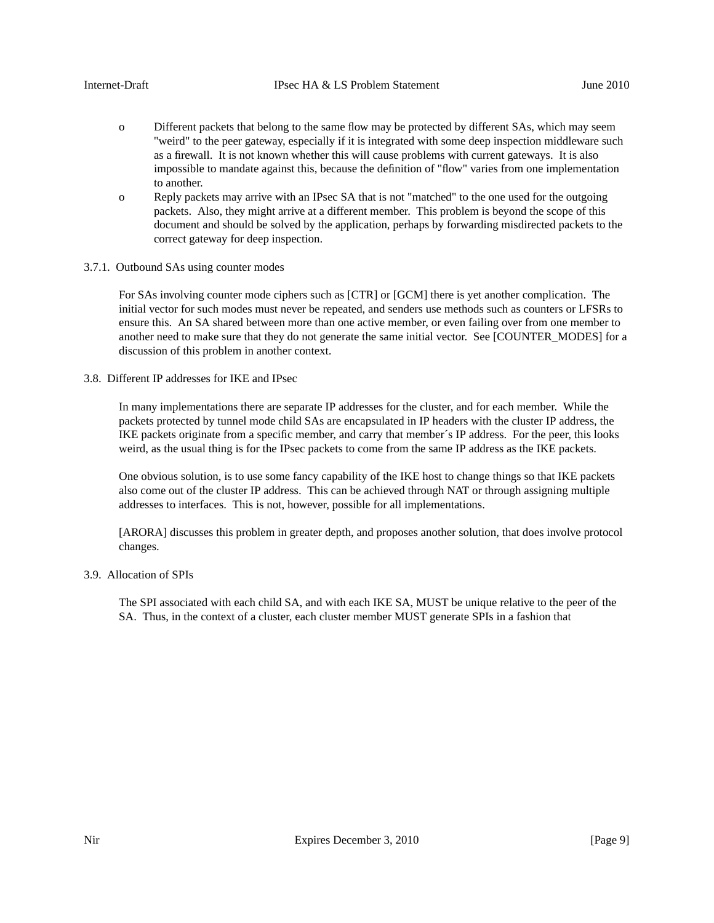- o Different packets that belong to the same flow may be protected by different SAs, which may seem "weird" to the peer gateway, especially if it is integrated with some deep inspection middleware such as a firewall. It is not known whether this will cause problems with current gateways. It is also impossible to mandate against this, because the definition of "flow" varies from one implementation to another.
- o Reply packets may arrive with an IPsec SA that is not "matched" to the one used for the outgoing packets. Also, they might arrive at a different member. This problem is beyond the scope of this document and should be solved by the application, perhaps by forwarding misdirected packets to the correct gateway for deep inspection.
- 3.7.1. Outbound SAs using counter modes

For SAs involving counter mode ciphers such as [CTR] or [GCM] there is yet another complication. The initial vector for such modes must never be repeated, and senders use methods such as counters or LFSRs to ensure this. An SA shared between more than one active member, or even failing over from one member to another need to make sure that they do not generate the same initial vector. See [COUNTER\_MODES] for a discussion of this problem in another context.

3.8. Different IP addresses for IKE and IPsec

In many implementations there are separate IP addresses for the cluster, and for each member. While the packets protected by tunnel mode child SAs are encapsulated in IP headers with the cluster IP address, the IKE packets originate from a specific member, and carry that member´s IP address. For the peer, this looks weird, as the usual thing is for the IPsec packets to come from the same IP address as the IKE packets.

One obvious solution, is to use some fancy capability of the IKE host to change things so that IKE packets also come out of the cluster IP address. This can be achieved through NAT or through assigning multiple addresses to interfaces. This is not, however, possible for all implementations.

[ARORA] discusses this problem in greater depth, and proposes another solution, that does involve protocol changes.

3.9. Allocation of SPIs

The SPI associated with each child SA, and with each IKE SA, MUST be unique relative to the peer of the SA. Thus, in the context of a cluster, each cluster member MUST generate SPIs in a fashion that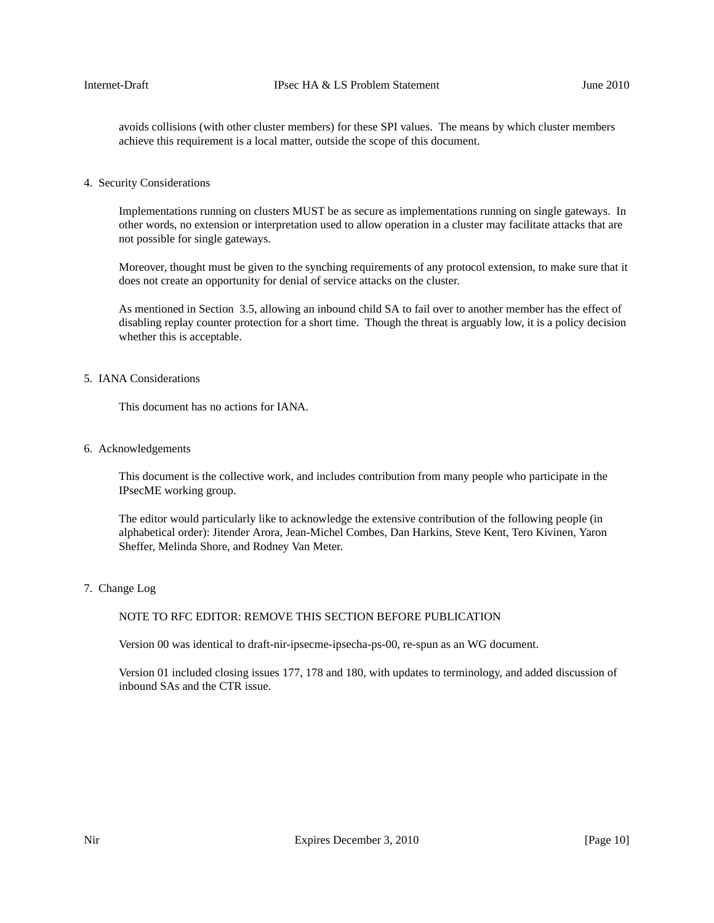avoids collisions (with other cluster members) for these SPI values. The means by which cluster members achieve this requirement is a local matter, outside the scope of this document.

4. Security Considerations

Implementations running on clusters MUST be as secure as implementations running on single gateways. In other words, no extension or interpretation used to allow operation in a cluster may facilitate attacks that are not possible for single gateways.

Moreover, thought must be given to the synching requirements of any protocol extension, to make sure that it does not create an opportunity for denial of service attacks on the cluster.

As mentioned in Section 3.5, allowing an inbound child SA to fail over to another member has the effect of disabling replay counter protection for a short time. Though the threat is arguably low, it is a policy decision whether this is acceptable.

# 5. IANA Considerations

This document has no actions for IANA.

6. Acknowledgements

This document is the collective work, and includes contribution from many people who participate in the IPsecME working group.

The editor would particularly like to acknowledge the extensive contribution of the following people (in alphabetical order): Jitender Arora, Jean-Michel Combes, Dan Harkins, Steve Kent, Tero Kivinen, Yaron Sheffer, Melinda Shore, and Rodney Van Meter.

7. Change Log

# NOTE TO RFC EDITOR: REMOVE THIS SECTION BEFORE PUBLICATION

Version 00 was identical to draft-nir-ipsecme-ipsecha-ps-00, re-spun as an WG document.

Version 01 included closing issues 177, 178 and 180, with updates to terminology, and added discussion of inbound SAs and the CTR issue.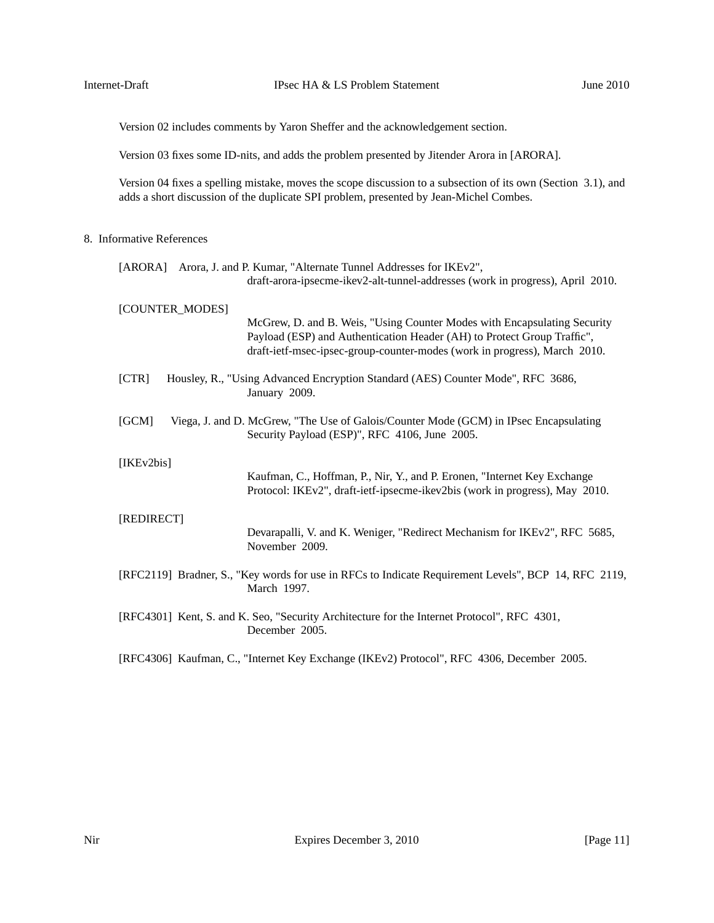Version 02 includes comments by Yaron Sheffer and the acknowledgement section.

Version 03 fixes some ID-nits, and adds the problem presented by Jitender Arora in [ARORA].

Version 04 fixes a spelling mistake, moves the scope discussion to a subsection of its own (Section 3.1), and adds a short discussion of the duplicate SPI problem, presented by Jean-Michel Combes.

# 8. Informative References

|                 | [ARORA] Arora, J. and P. Kumar, "Alternate Tunnel Addresses for IKEv2",<br>draft-arora-ipsecme-ikev2-alt-tunnel-addresses (work in progress), April 2010.                                                                        |
|-----------------|----------------------------------------------------------------------------------------------------------------------------------------------------------------------------------------------------------------------------------|
| [COUNTER_MODES] | McGrew, D. and B. Weis, "Using Counter Modes with Encapsulating Security<br>Payload (ESP) and Authentication Header (AH) to Protect Group Traffic",<br>draft-ietf-msec-ipsec-group-counter-modes (work in progress), March 2010. |
| [CTR]           | Housley, R., "Using Advanced Encryption Standard (AES) Counter Mode", RFC 3686,<br>January 2009.                                                                                                                                 |
| [GCM]           | Viega, J. and D. McGrew, "The Use of Galois/Counter Mode (GCM) in IPsec Encapsulating<br>Security Payload (ESP)", RFC 4106, June 2005.                                                                                           |
| [IKEv2bis]      | Kaufman, C., Hoffman, P., Nir, Y., and P. Eronen, "Internet Key Exchange<br>Protocol: IKEv2", draft-ietf-ipsecme-ikev2bis (work in progress), May 2010.                                                                          |
| [REDIRECT]      | Devarapalli, V. and K. Weniger, "Redirect Mechanism for IKEv2", RFC 5685,<br>November 2009.                                                                                                                                      |
|                 | [RFC2119] Bradner, S., "Key words for use in RFCs to Indicate Requirement Levels", BCP 14, RFC 2119,<br>March 1997.                                                                                                              |
|                 | [RFC4301] Kent, S. and K. Seo, "Security Architecture for the Internet Protocol", RFC 4301,<br>December 2005.                                                                                                                    |
|                 | [RFC4306] Kaufman, C., "Internet Key Exchange (IKEv2) Protocol", RFC 4306, December 2005.                                                                                                                                        |